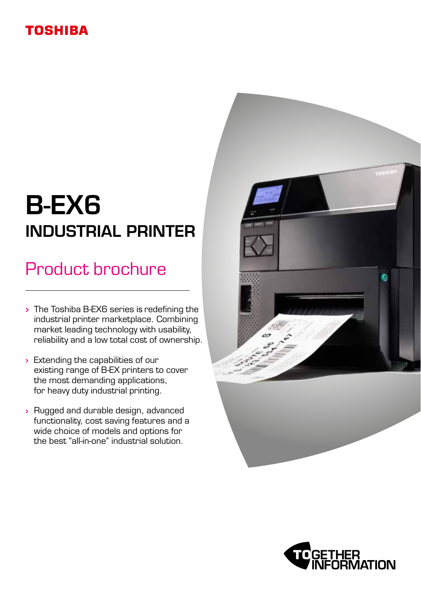### **TOSHIBA**

# B-EX6 INDUSTRIAL PRINTER

## Product brochure

- The Toshiba B-EX6 series is redefining the industrial printer marketplace. Combining market leading technology with usability, reliability and a low total cost of ownership.
- $\rightarrow$  Extending the capabilities of our existing range of B-EX printers to cover the most demanding applications, for heavy duty industrial printing.
- Rugged and durable design, advanced functionality, cost saving features and a wide choice of models and options for the best "all-in-one" industrial solution.



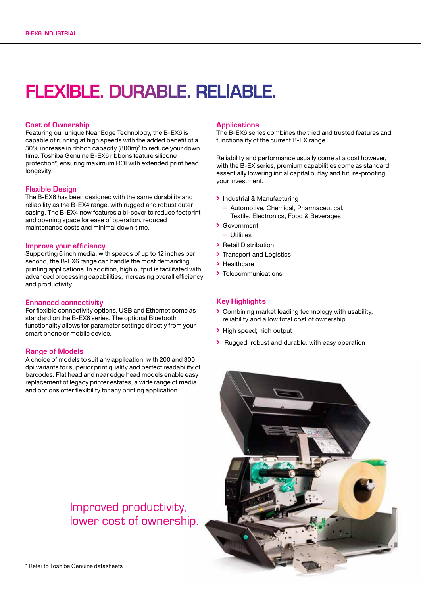## FLEXIBLE. DURABLE. RELIABLE.

### Cost of Ownership

Featuring our unique Near Edge Technology, the B-EX6 is capable of running at high speeds with the added benefit of a 30% increase in ribbon capacity (800m)2 to reduce your down time. Toshiba Genuine B-EX6 ribbons feature silicone protection\*, ensuring maximum ROI with extended print head longevity.

### Flexible Design

The B-EX6 has been designed with the same durability and reliability as the B-EX4 range, with rugged and robust outer casing. The B-EX4 now features a bi-cover to reduce footprint and opening space for ease of operation, reduced maintenance costs and minimal down-time.

### Improve your efficiency

Supporting 6 inch media, with speeds of up to 12 inches per second, the B-EX6 range can handle the most demanding printing applications. In addition, high output is facilitated with advanced processing capabilities, increasing overall efficiency and productivity.

#### Enhanced connectivity

For flexible connectivity options, USB and Ethernet come as standard on the B-EX6 series. The optional Bluetooth functionality allows for parameter settings directly from your smart phone or mobile device.

### Range of Models

A choice of models to suit any application, with 200 and 300 dpi variants for superior print quality and perfect readability of barcodes. Flat head and near edge head models enable easy replacement of legacy printer estates, a wide range of media and options offer flexibility for any printing application.

#### **Applications**

The B-EX6 series combines the tried and trusted features and functionality of the current B-EX range.

Reliability and performance usually come at a cost however, with the B-EX series, premium capabilities come as standard, essentially lowering initial capital outlay and future-proofing your investment.

- Industrial & Manufacturing
- Automotive, Chemical, Pharmaceutical, Textile, Electronics, Food & Beverages
- Government
	- Utilities
- Retail Distribution
- > Transport and Logistics
- > Healthcare
- > Telecommunications

### Key Highlights

- Combining market leading technology with usability, reliability and a low total cost of ownership
- > High speed; high output
- > Rugged, robust and durable, with easy operation



### Improved productivity, lower cost of ownership.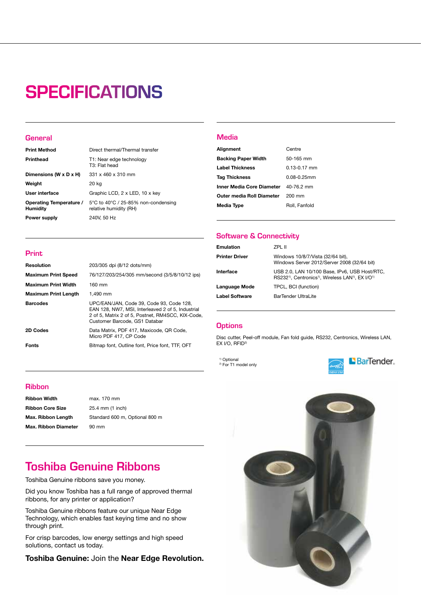## **SPECIFICATIONS**

### **General**

| <b>Print Method</b>                        | Direct thermal/Thermal transfer                               |
|--------------------------------------------|---------------------------------------------------------------|
| <b>Printhead</b>                           | T1: Near edge technology<br>T3: Flat head                     |
| Dimensions (W $\times$ D $\times$ H)       | 331 x 460 x 310 mm                                            |
| Weight                                     | 20 kg                                                         |
| User interface                             | Graphic LCD, 2 x LED, 10 x key                                |
| Operating Temperature /<br><b>Humidity</b> | 5°C to 40°C / 25-85% non-condensing<br>relative humidity (RH) |
| Power supply                               | 240V, 50 Hz                                                   |

### Media

| Alignment                                   | Centre           |
|---------------------------------------------|------------------|
| <b>Backing Paper Width</b>                  | 50-165 mm        |
| <b>Label Thickness</b>                      | $0.13 - 0.17$ mm |
| <b>Tag Thickness</b>                        | $0.08 - 0.25$ mm |
| <b>Inner Media Core Diameter</b> 40-76.2 mm |                  |
| Outer media Roll Diameter                   | 200 mm           |
| Media Type                                  | Roll, Fanfold    |

### Software & Connectivity

| Emulation             | 7PI 11                                                                                                                                              |
|-----------------------|-----------------------------------------------------------------------------------------------------------------------------------------------------|
| <b>Printer Driver</b> | Windows 10/8/7/Vista (32/64 bit),<br>Windows Server 2012/Server 2008 (32/64 bit)                                                                    |
| Interface             | USB 2.0, LAN 10/100 Base, IPv6, USB Host/RTC,<br>RS232 <sup>1)</sup> , Centronics <sup>1)</sup> , Wireless LAN <sup>1)</sup> , EX I/O <sup>1)</sup> |
| Language Mode         | TPCL, BCI (function)                                                                                                                                |
| Label Software        | BarTender UltraLite                                                                                                                                 |
|                       |                                                                                                                                                     |

### **Options**

Disc cutter, Peel-off module, Fan fold guide, RS232, Centronics, Wireless LAN, EX I/O, RFID<sup>2)</sup>

<sup>1)</sup> Optional <sup>2)</sup> For T1 model only





### Print

| <b>Resolution</b>           | 203/305 dpi (8/12 dots/mm)                                                                                                                                                          |
|-----------------------------|-------------------------------------------------------------------------------------------------------------------------------------------------------------------------------------|
| <b>Maximum Print Speed</b>  | 76/127/203/254/305 mm/second (3/5/8/10/12 ips)                                                                                                                                      |
| <b>Maximum Print Width</b>  | $160 \text{ mm}$                                                                                                                                                                    |
| <b>Maximum Print Length</b> | 1.490 mm                                                                                                                                                                            |
| <b>Barcodes</b>             | UPC/EAN/JAN, Code 39, Code 93, Code 128,<br>EAN 128, NW7, MSI, Interleaved 2 of 5, Industrial<br>2 of 5, Matrix 2 of 5, Postnet, RM4SCC, KIX-Code,<br>Customer Barcode, GS1 Databar |
| 2D Codes                    | Data Matrix, PDF 417, Maxicode, QR Code,<br>Micro PDF 417, CP Code                                                                                                                  |
| <b>Fonts</b>                | Bitmap font, Outline font, Price font, TTF, OFT                                                                                                                                     |

### Ribbon

Ribbon Width max. 170 mm Ribbon Core Size 25.4 mm (1 inch) Max. Ribbon Diameter 90 mm

Max. Ribbon Length Standard 600 m, Optional 800 m

### Toshiba Genuine Ribbons

Toshiba Genuine ribbons save you money.

Did you know Toshiba has a full range of approved thermal ribbons, for any printer or application?

Toshiba Genuine ribbons feature our unique Near Edge Technology, which enables fast keying time and no show through print.

For crisp barcodes, low energy settings and high speed solutions, contact us today.

Toshiba Genuine: Join the Near Edge Revolution.